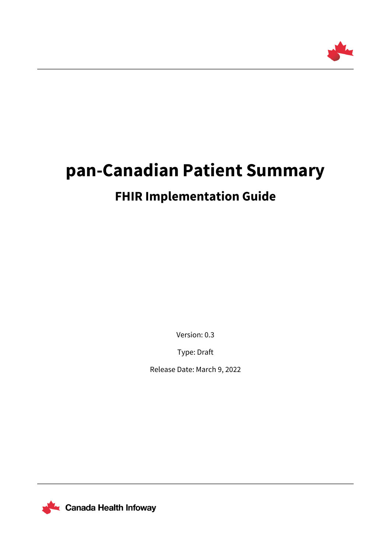

# **pan-Canadian Patient Summary**

# **FHIR Implementation Guide**

Version: 0.3

Type: Draft

Release Date: March 9, 2022



**Le Canada Health Infoway**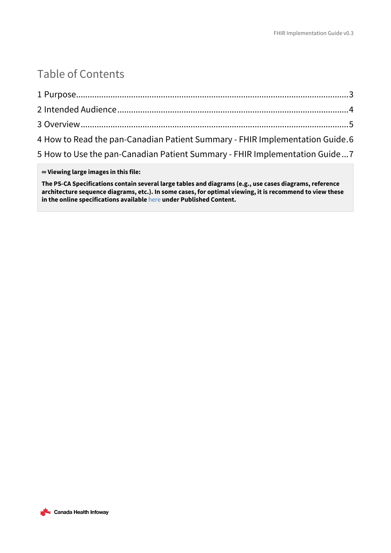### Table of Contents

| 5 How to Use the pan-Canadian Patient Summary - FHIR Implementation Guide7   |
|------------------------------------------------------------------------------|
| 4 How to Read the pan-Canadian Patient Summary - FHIR Implementation Guide.6 |
|                                                                              |
|                                                                              |
|                                                                              |

**∞ Viewing large images in this file:**

**The PS-CA Specifications contain several large tables and diagrams (e.g., use cases diagrams, reference architecture sequence diagrams, etc.). In some cases, for optimal viewing, it is recommend to view these in the online specifications available** [here](https://infoscribe.infoway-inforoute.ca/display/PCI/PS-CA+Release+Information) **under Published Content.**

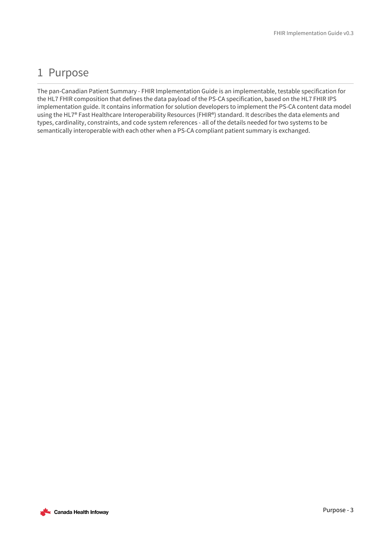# <span id="page-2-0"></span>1 Purpose

The pan-Canadian Patient Summary - FHIR Implementation Guide is an implementable, testable specification for the HL7 FHIR composition that defines the data payload of the PS-CA specification, based on the HL7 FHIR IPS implementation guide. It contains information for solution developers to implement the PS-CA content data model using the HL7® Fast Healthcare Interoperability Resources (FHIR®) standard. It describes the data elements and types, cardinality, constraints, and code system references - all of the details needed for two systems to be semantically interoperable with each other when a PS-CA compliant patient summary is exchanged.

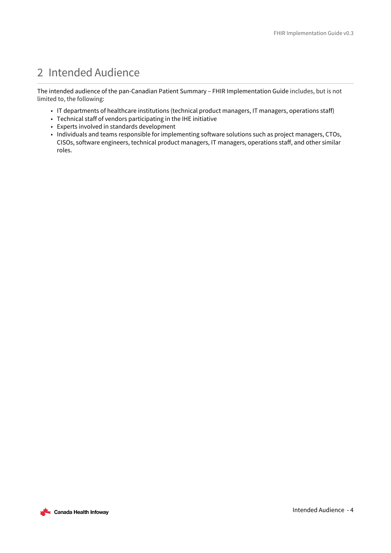# <span id="page-3-0"></span>2 Intended Audience

The intended audience of the pan-Canadian Patient Summary – FHIR Implementation Guide includes, but is not limited to, the following:

- IT departments of healthcare institutions (technical product managers, IT managers, operations staff)
- Technical staff of vendors participating in the IHE initiative
- Experts involved in standards development
- Individuals and teams responsible for implementing software solutions such as project managers, CTOs, CISOs, software engineers, technical product managers, IT managers, operations staff, and other similar roles.

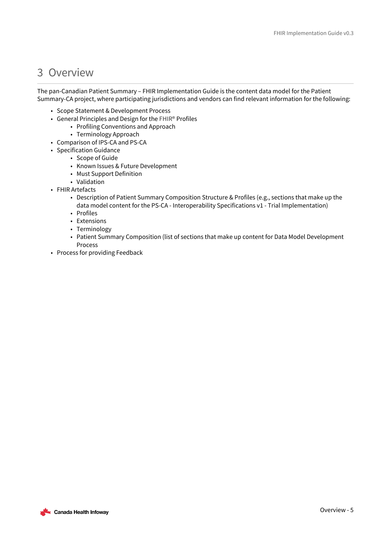#### <span id="page-4-0"></span>3 Overview

The pan-Canadian Patient Summary – FHIR Implementation Guide is the content data model for the Patient Summary-CA project, where participating jurisdictions and vendors can find relevant information for the following:

- Scope Statement & Development Process
- General Principles and Design for the FHIR® Profiles
	- Profiling Conventions and Approach
	- Terminology Approach
- Comparison of IPS-CA and PS-CA
- Specification Guidance
	- Scope of Guide
	- Known Issues & Future Development
	- Must Support Definition
	- Validation
- FHIR Artefacts
	- Description of Patient Summary Composition Structure & Profiles (e.g., sections that make up the data model content for the PS-CA - Interoperability Specifications v1 - Trial Implementation)
	- Profiles
	- Extensions
	- Terminology
	- Patient Summary Composition (list of sections that make up content for Data Model Development Process
- Process for providing Feedback

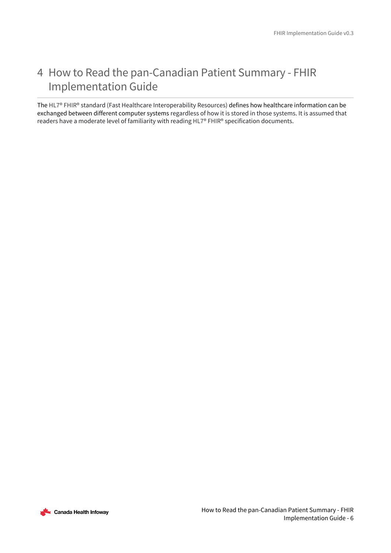# <span id="page-5-0"></span>4 How to Read the pan-Canadian Patient Summary - FHIR Implementation Guide

The HL7® FHIR® standard (Fast Healthcare Interoperability Resources) defines how healthcare information can be exchanged between different computer systems regardless of how it is stored in those systems. It is assumed that readers have a moderate level of familiarity with reading HL7® FHIR® specification documents.